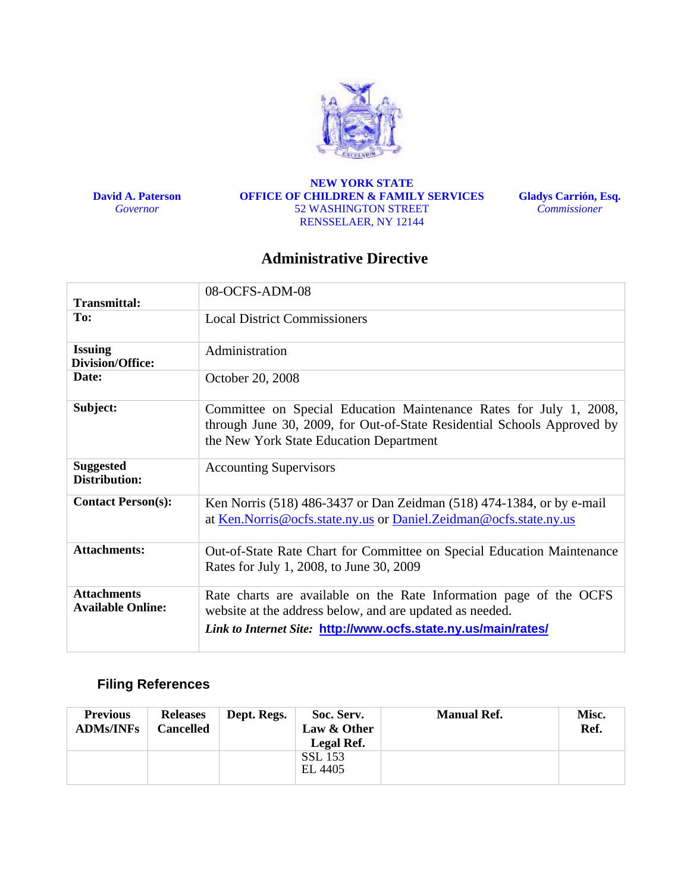

**David A. Paterson**  *Governor* 

**NEW YORK STATE OFFICE OF CHILDREN & FAMILY SERVICES**  52 WASHINGTON STREET RENSSELAER, NY 12144

**Gladys Carrión, Esq.**  *Commissioner* 

# **Administrative Directive**

|                                                | 08-OCFS-ADM-08                                                                                                                                                                                   |
|------------------------------------------------|--------------------------------------------------------------------------------------------------------------------------------------------------------------------------------------------------|
| <b>Transmittal:</b>                            |                                                                                                                                                                                                  |
| To:                                            | <b>Local District Commissioners</b>                                                                                                                                                              |
| <b>Issuing</b><br><b>Division/Office:</b>      | Administration                                                                                                                                                                                   |
| Date:                                          | October 20, 2008                                                                                                                                                                                 |
| Subject:                                       | Committee on Special Education Maintenance Rates for July 1, 2008,<br>through June 30, 2009, for Out-of-State Residential Schools Approved by<br>the New York State Education Department         |
| <b>Suggested</b><br>Distribution:              | <b>Accounting Supervisors</b>                                                                                                                                                                    |
| <b>Contact Person(s):</b>                      | Ken Norris (518) 486-3437 or Dan Zeidman (518) 474-1384, or by e-mail<br>at Ken. Norris @ocfs.state.ny.us or Daniel. Zeidman @ocfs.state.ny.us                                                   |
| <b>Attachments:</b>                            | Out-of-State Rate Chart for Committee on Special Education Maintenance<br>Rates for July 1, 2008, to June 30, 2009                                                                               |
| <b>Attachments</b><br><b>Available Online:</b> | Rate charts are available on the Rate Information page of the OCFS<br>website at the address below, and are updated as needed.<br>Link to Internet Site: http://www.ocfs.state.ny.us/main/rates/ |

# **Filing References**

| <b>Previous</b><br><b>ADMs/INFs</b> | <b>Releases</b><br>Cancelled | Dept. Regs. | Soc. Serv.<br>Law & Other | <b>Manual Ref.</b> | <b>Misc.</b><br>Ref. |
|-------------------------------------|------------------------------|-------------|---------------------------|--------------------|----------------------|
|                                     |                              |             | Legal Ref.                |                    |                      |
|                                     |                              |             | <b>SSL 153</b><br>EL 4405 |                    |                      |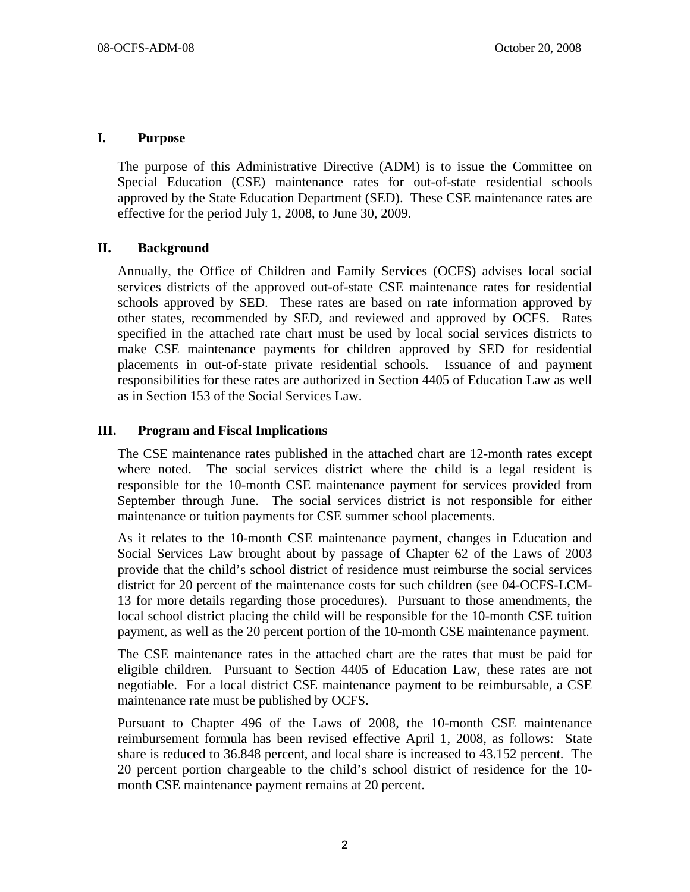#### **I. Purpose**

The purpose of this Administrative Directive (ADM) is to issue the Committee on Special Education (CSE) maintenance rates for out-of-state residential schools approved by the State Education Department (SED). These CSE maintenance rates are effective for the period July 1, 2008, to June 30, 2009.

### **II. Background**

Annually, the Office of Children and Family Services (OCFS) advises local social services districts of the approved out-of-state CSE maintenance rates for residential schools approved by SED. These rates are based on rate information approved by other states, recommended by SED, and reviewed and approved by OCFS. Rates specified in the attached rate chart must be used by local social services districts to make CSE maintenance payments for children approved by SED for residential placements in out-of-state private residential schools. Issuance of and payment responsibilities for these rates are authorized in Section 4405 of Education Law as well as in Section 153 of the Social Services Law.

### **III. Program and Fiscal Implications**

The CSE maintenance rates published in the attached chart are 12-month rates except where noted. The social services district where the child is a legal resident is responsible for the 10-month CSE maintenance payment for services provided from September through June. The social services district is not responsible for either maintenance or tuition payments for CSE summer school placements.

As it relates to the 10-month CSE maintenance payment, changes in Education and Social Services Law brought about by passage of Chapter 62 of the Laws of 2003 provide that the child's school district of residence must reimburse the social services district for 20 percent of the maintenance costs for such children (see 04-OCFS-LCM-13 for more details regarding those procedures). Pursuant to those amendments, the local school district placing the child will be responsible for the 10-month CSE tuition payment, as well as the 20 percent portion of the 10-month CSE maintenance payment.

The CSE maintenance rates in the attached chart are the rates that must be paid for eligible children. Pursuant to Section 4405 of Education Law, these rates are not negotiable. For a local district CSE maintenance payment to be reimbursable, a CSE maintenance rate must be published by OCFS.

Pursuant to Chapter 496 of the Laws of 2008, the 10-month CSE maintenance reimbursement formula has been revised effective April 1, 2008, as follows: State share is reduced to 36.848 percent, and local share is increased to 43.152 percent. The 20 percent portion chargeable to the child's school district of residence for the 10 month CSE maintenance payment remains at 20 percent.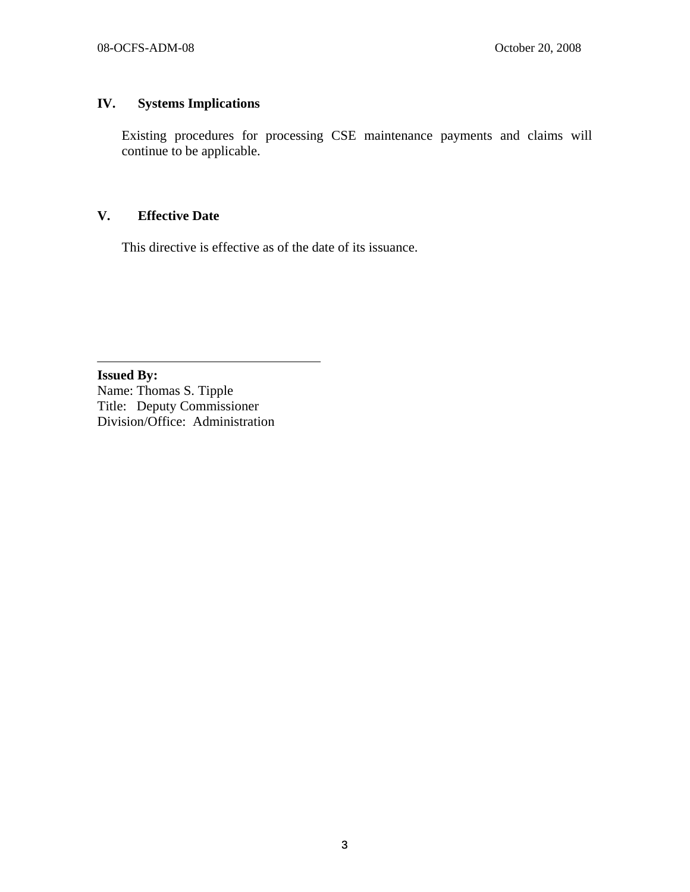## **IV. Systems Implications**

Existing procedures for processing CSE maintenance payments and claims will continue to be applicable.

## **V. Effective Date**

 $\overline{a}$ 

This directive is effective as of the date of its issuance.

**Issued By:**  Name: Thomas S. Tipple Title: Deputy Commissioner Division/Office: Administration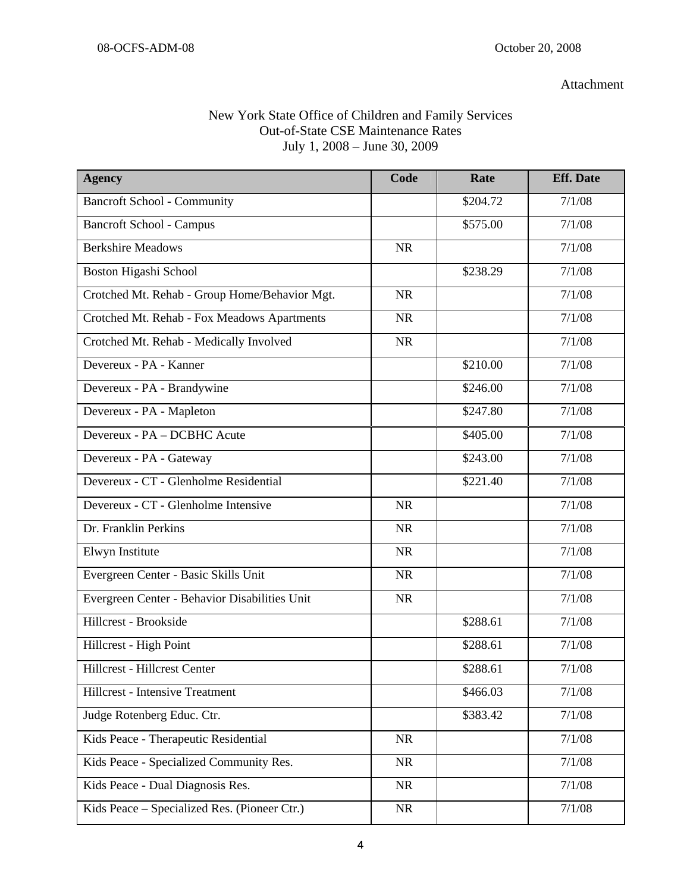#### Attachment

# New York State Office of Children and Family Services Out-of-State CSE Maintenance Rates July 1, 2008 – June 30, 2009

| <b>Agency</b>                                 | Code      | Rate     | <b>Eff.</b> Date |
|-----------------------------------------------|-----------|----------|------------------|
| <b>Bancroft School - Community</b>            |           | \$204.72 | 7/1/08           |
| <b>Bancroft School - Campus</b>               |           | \$575.00 | 7/1/08           |
| <b>Berkshire Meadows</b>                      | <b>NR</b> |          | 7/1/08           |
| Boston Higashi School                         |           | \$238.29 | 7/1/08           |
| Crotched Mt. Rehab - Group Home/Behavior Mgt. | <b>NR</b> |          | 7/1/08           |
| Crotched Mt. Rehab - Fox Meadows Apartments   | <b>NR</b> |          | 7/1/08           |
| Crotched Mt. Rehab - Medically Involved       | <b>NR</b> |          | 7/1/08           |
| Devereux - PA - Kanner                        |           | \$210.00 | 7/1/08           |
| Devereux - PA - Brandywine                    |           | \$246.00 | 7/1/08           |
| Devereux - PA - Mapleton                      |           | \$247.80 | 7/1/08           |
| Devereux - PA - DCBHC Acute                   |           | \$405.00 | 7/1/08           |
| Devereux - PA - Gateway                       |           | \$243.00 | 7/1/08           |
| Devereux - CT - Glenholme Residential         |           | \$221.40 | 7/1/08           |
| Devereux - CT - Glenholme Intensive           | <b>NR</b> |          | 7/1/08           |
| Dr. Franklin Perkins                          | <b>NR</b> |          | 7/1/08           |
| Elwyn Institute                               | <b>NR</b> |          | 7/1/08           |
| Evergreen Center - Basic Skills Unit          | <b>NR</b> |          | 7/1/08           |
| Evergreen Center - Behavior Disabilities Unit | <b>NR</b> |          | 7/1/08           |
| Hillcrest - Brookside                         |           | \$288.61 | 7/1/08           |
| Hillcrest - High Point                        |           | \$288.61 | 7/1/08           |
| Hillcrest - Hillcrest Center                  |           | \$288.61 | 7/1/08           |
| <b>Hillcrest - Intensive Treatment</b>        |           | \$466.03 | 7/1/08           |
| Judge Rotenberg Educ. Ctr.                    |           | \$383.42 | 7/1/08           |
| Kids Peace - Therapeutic Residential          | <b>NR</b> |          | 7/1/08           |
| Kids Peace - Specialized Community Res.       | <b>NR</b> |          | 7/1/08           |
| Kids Peace - Dual Diagnosis Res.              | <b>NR</b> |          | 7/1/08           |
| Kids Peace - Specialized Res. (Pioneer Ctr.)  | <b>NR</b> |          | 7/1/08           |
|                                               |           |          |                  |